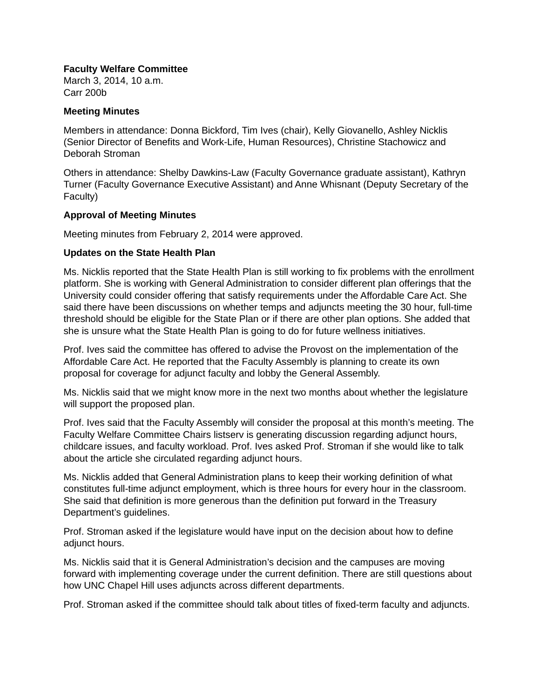## **Faculty Welfare Committee**

March 3, 2014, 10 a.m. Carr 200b

### **Meeting Minutes**

Members in attendance: Donna Bickford, Tim Ives (chair), Kelly Giovanello, Ashley Nicklis (Senior Director of Benefits and Work-Life, Human Resources), Christine Stachowicz and Deborah Stroman

Others in attendance: Shelby Dawkins-Law (Faculty Governance graduate assistant), Kathryn Turner (Faculty Governance Executive Assistant) and Anne Whisnant (Deputy Secretary of the Faculty)

# **Approval of Meeting Minutes**

Meeting minutes from February 2, 2014 were approved.

# **Updates on the State Health Plan**

Ms. Nicklis reported that the State Health Plan is still working to fix problems with the enrollment platform. She is working with General Administration to consider different plan offerings that the University could consider offering that satisfy requirements under the Affordable Care Act. She said there have been discussions on whether temps and adjuncts meeting the 30 hour, full-time threshold should be eligible for the State Plan or if there are other plan options. She added that she is unsure what the State Health Plan is going to do for future wellness initiatives.

Prof. Ives said the committee has offered to advise the Provost on the implementation of the Affordable Care Act. He reported that the Faculty Assembly is planning to create its own proposal for coverage for adjunct faculty and lobby the General Assembly.

Ms. Nicklis said that we might know more in the next two months about whether the legislature will support the proposed plan.

Prof. Ives said that the Faculty Assembly will consider the proposal at this month's meeting. The Faculty Welfare Committee Chairs listserv is generating discussion regarding adjunct hours, childcare issues, and faculty workload. Prof. Ives asked Prof. Stroman if she would like to talk about the article she circulated regarding adjunct hours.

Ms. Nicklis added that General Administration plans to keep their working definition of what constitutes full-time adjunct employment, which is three hours for every hour in the classroom. She said that definition is more generous than the definition put forward in the Treasury Department's guidelines.

Prof. Stroman asked if the legislature would have input on the decision about how to define adjunct hours.

Ms. Nicklis said that it is General Administration's decision and the campuses are moving forward with implementing coverage under the current definition. There are still questions about how UNC Chapel Hill uses adjuncts across different departments.

Prof. Stroman asked if the committee should talk about titles of fixed-term faculty and adjuncts.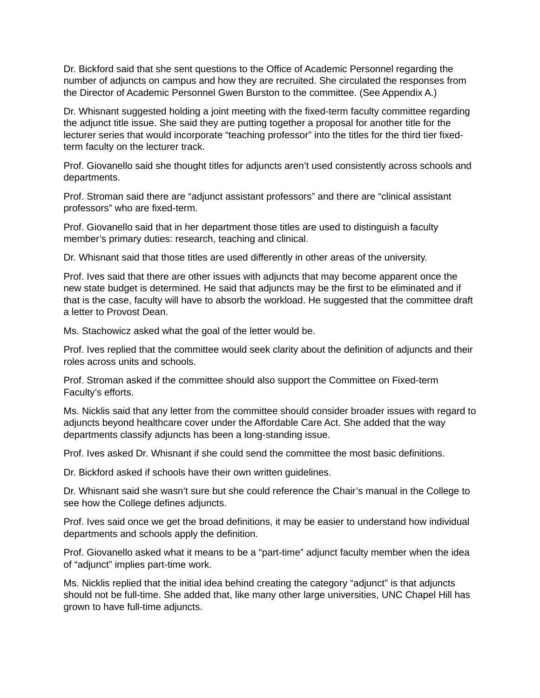Dr. Bickford said that she sent questions to the Office of Academic Personnel regarding the number of adjuncts on campus and how they are recruited. She circulated the responses from the Director of Academic Personnel Gwen Burston to the committee. (See Appendix A.)

Dr. Whisnant suggested holding a joint meeting with the fixed-term faculty committee regarding the adjunct title issue. She said they are putting together a proposal for another title for the lecturer series that would incorporate "teaching professor" into the titles for the third tier fixedterm faculty on the lecturer track.

Prof. Giovanello said she thought titles for adjuncts aren't used consistently across schools and departments.

Prof. Stroman said there are "adjunct assistant professors" and there are "clinical assistant professors" who are fixed-term.

Prof. Giovanello said that in her department those titles are used to distinguish a faculty member's primary duties: research, teaching and clinical.

Dr. Whisnant said that those titles are used differently in other areas of the university.

Prof. Ives said that there are other issues with adjuncts that may become apparent once the new state budget is determined. He said that adjuncts may be the first to be eliminated and if that is the case, faculty will have to absorb the workload. He suggested that the committee draft a letter to Provost Dean.

Ms. Stachowicz asked what the goal of the letter would be.

Prof. Ives replied that the committee would seek clarity about the definition of adjuncts and their roles across units and schools.

Prof. Stroman asked if the committee should also support the Committee on Fixed-term Faculty's efforts.

Ms. Nicklis said that any letter from the committee should consider broader issues with regard to adjuncts beyond healthcare cover under the Affordable Care Act. She added that the way departments classify adjuncts has been a long-standing issue.

Prof. Ives asked Dr. Whisnant if she could send the committee the most basic definitions.

Dr. Bickford asked if schools have their own written guidelines.

Dr. Whisnant said she wasn't sure but she could reference the Chair's manual in the College to see how the College defines adjuncts.

Prof. Ives said once we get the broad definitions, it may be easier to understand how individual departments and schools apply the definition.

Prof. Giovanello asked what it means to be a "part-time" adjunct faculty member when the idea of "adjunct" implies part-time work.

Ms. Nicklis replied that the initial idea behind creating the category "adjunct" is that adjuncts should not be full-time. She added that, like many other large universities, UNC Chapel Hill has grown to have full-time adjuncts.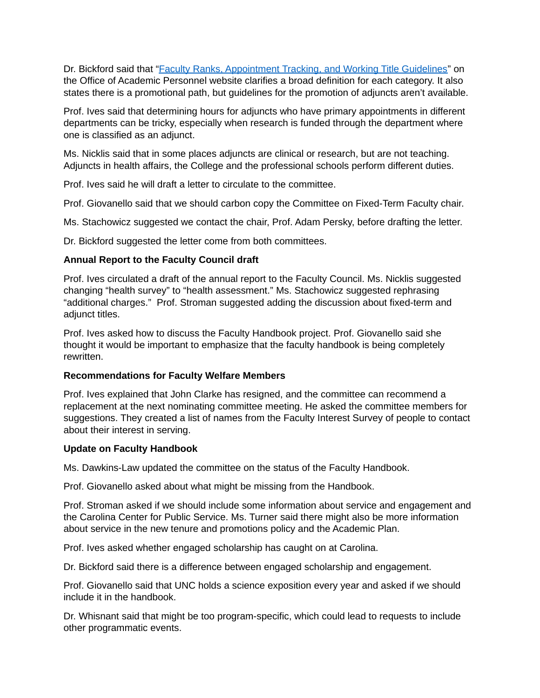Dr. Bickford said that ["Faculty Ranks, Appointment Tracking, and Working Title Guidelines"](http://academicpersonnel.unc.edu/faculty-policies-procedures-guidelines/faculty-appointments/) on the Office of Academic Personnel website clarifies a broad definition for each category. It also states there is a promotional path, but guidelines for the promotion of adjuncts aren't available.

Prof. Ives said that determining hours for adjuncts who have primary appointments in different departments can be tricky, especially when research is funded through the department where one is classified as an adjunct.

Ms. Nicklis said that in some places adjuncts are clinical or research, but are not teaching. Adjuncts in health affairs, the College and the professional schools perform different duties.

Prof. Ives said he will draft a letter to circulate to the committee.

Prof. Giovanello said that we should carbon copy the Committee on Fixed-Term Faculty chair.

Ms. Stachowicz suggested we contact the chair, Prof. Adam Persky, before drafting the letter.

Dr. Bickford suggested the letter come from both committees.

# **Annual Report to the Faculty Council draft**

Prof. Ives circulated a draft of the annual report to the Faculty Council. Ms. Nicklis suggested changing "health survey" to "health assessment." Ms. Stachowicz suggested rephrasing "additional charges." Prof. Stroman suggested adding the discussion about fixed-term and adjunct titles.

Prof. Ives asked how to discuss the Faculty Handbook project. Prof. Giovanello said she thought it would be important to emphasize that the faculty handbook is being completely rewritten.

### **Recommendations for Faculty Welfare Members**

Prof. Ives explained that John Clarke has resigned, and the committee can recommend a replacement at the next nominating committee meeting. He asked the committee members for suggestions. They created a list of names from the Faculty Interest Survey of people to contact about their interest in serving.

### **Update on Faculty Handbook**

Ms. Dawkins-Law updated the committee on the status of the Faculty Handbook.

Prof. Giovanello asked about what might be missing from the Handbook.

Prof. Stroman asked if we should include some information about service and engagement and the Carolina Center for Public Service. Ms. Turner said there might also be more information about service in the new tenure and promotions policy and the Academic Plan.

Prof. Ives asked whether engaged scholarship has caught on at Carolina.

Dr. Bickford said there is a difference between engaged scholarship and engagement.

Prof. Giovanello said that UNC holds a science exposition every year and asked if we should include it in the handbook.

Dr. Whisnant said that might be too program-specific, which could lead to requests to include other programmatic events.